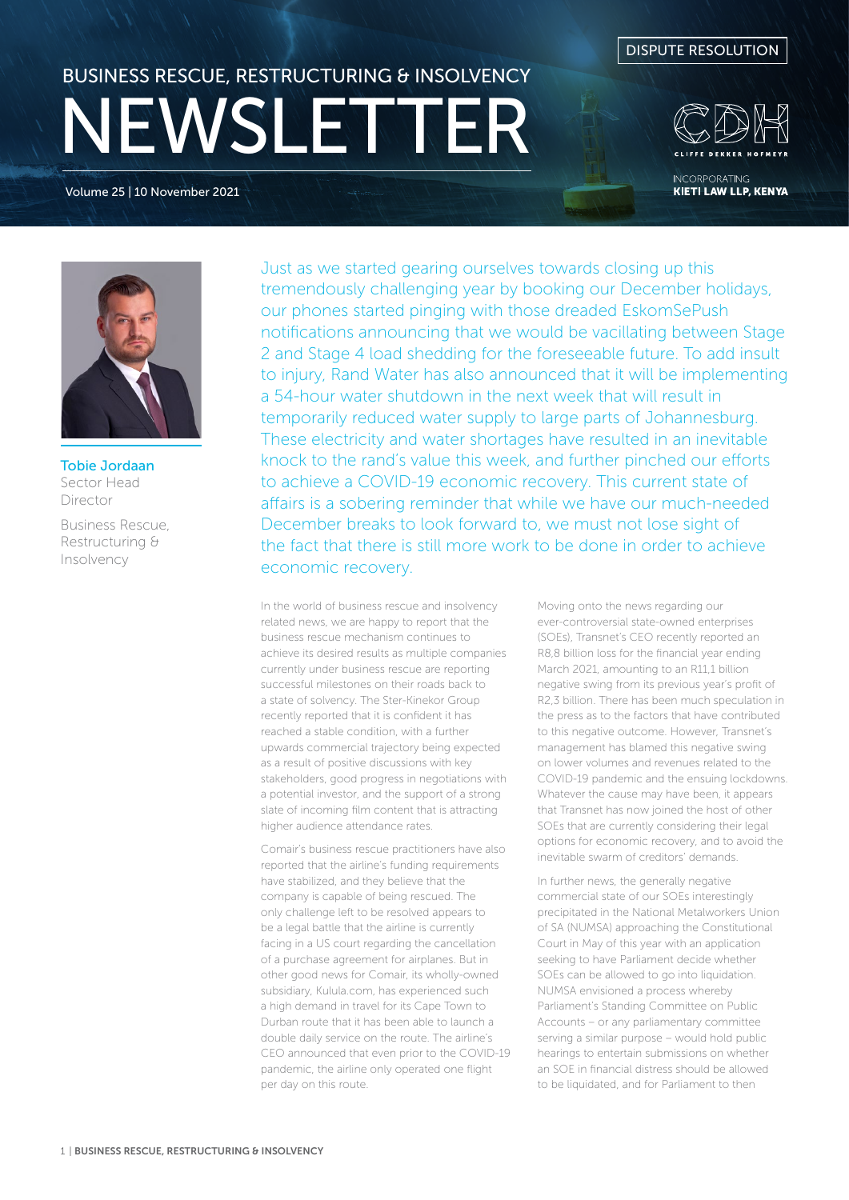Volume 25 | 10 November 2021





**INCORPORATING KIETI LAW LLP, KENYA** 



Tobie Jordaan Sector Head Director

Business Rescue, Restructuring & Insolvency

Just as we started gearing ourselves towards closing up this tremendously challenging year by booking our December holidays, our phones started pinging with those dreaded EskomSePush notifications announcing that we would be vacillating between Stage 2 and Stage 4 load shedding for the foreseeable future. To add insult to injury, Rand Water has also announced that it will be implementing a 54-hour water shutdown in the next week that will result in temporarily reduced water supply to large parts of Johannesburg. These electricity and water shortages have resulted in an inevitable knock to the rand's value this week, and further pinched our efforts to achieve a COVID-19 economic recovery. This current state of affairs is a sobering reminder that while we have our much-needed December breaks to look forward to, we must not lose sight of the fact that there is still more work to be done in order to achieve economic recovery.

In the world of business rescue and insolvency related news, we are happy to report that the business rescue mechanism continues to achieve its desired results as multiple companies currently under business rescue are reporting successful milestones on their roads back to a state of solvency. The Ster-Kinekor Group recently reported that it is confident it has reached a stable condition, with a further upwards commercial trajectory being expected as a result of positive discussions with key stakeholders, good progress in negotiations with a potential investor, and the support of a strong slate of incoming film content that is attracting higher audience attendance rates.

Comair's business rescue practitioners have also reported that the airline's funding requirements have stabilized, and they believe that the company is capable of being rescued. The only challenge left to be resolved appears to be a legal battle that the airline is currently facing in a US court regarding the cancellation of a purchase agreement for airplanes. But in other good news for Comair, its wholly-owned subsidiary, Kulula.com, has experienced such a high demand in travel for its Cape Town to Durban route that it has been able to launch a double daily service on the route. The airline's CEO announced that even prior to the COVID-19 pandemic, the airline only operated one flight per day on this route.

Moving onto the news regarding our ever-controversial state-owned enterprises (SOEs), Transnet's CEO recently reported an R8,8 billion loss for the financial year ending March 2021, amounting to an R11,1 billion negative swing from its previous year's profit of R2,3 billion. There has been much speculation in the press as to the factors that have contributed to this negative outcome. However, Transnet's management has blamed this negative swing on lower volumes and revenues related to the COVID-19 pandemic and the ensuing lockdowns. Whatever the cause may have been, it appears that Transnet has now joined the host of other SOEs that are currently considering their legal options for economic recovery, and to avoid the inevitable swarm of creditors' demands.

In further news, the generally negative commercial state of our SOEs interestingly precipitated in the National Metalworkers Union of SA (NUMSA) approaching the Constitutional Court in May of this year with an application seeking to have Parliament decide whether SOEs can be allowed to go into liquidation. NUMSA envisioned a process whereby Parliament's Standing Committee on Public Accounts – or any parliamentary committee serving a similar purpose – would hold public hearings to entertain submissions on whether an SOE in financial distress should be allowed to be liquidated, and for Parliament to then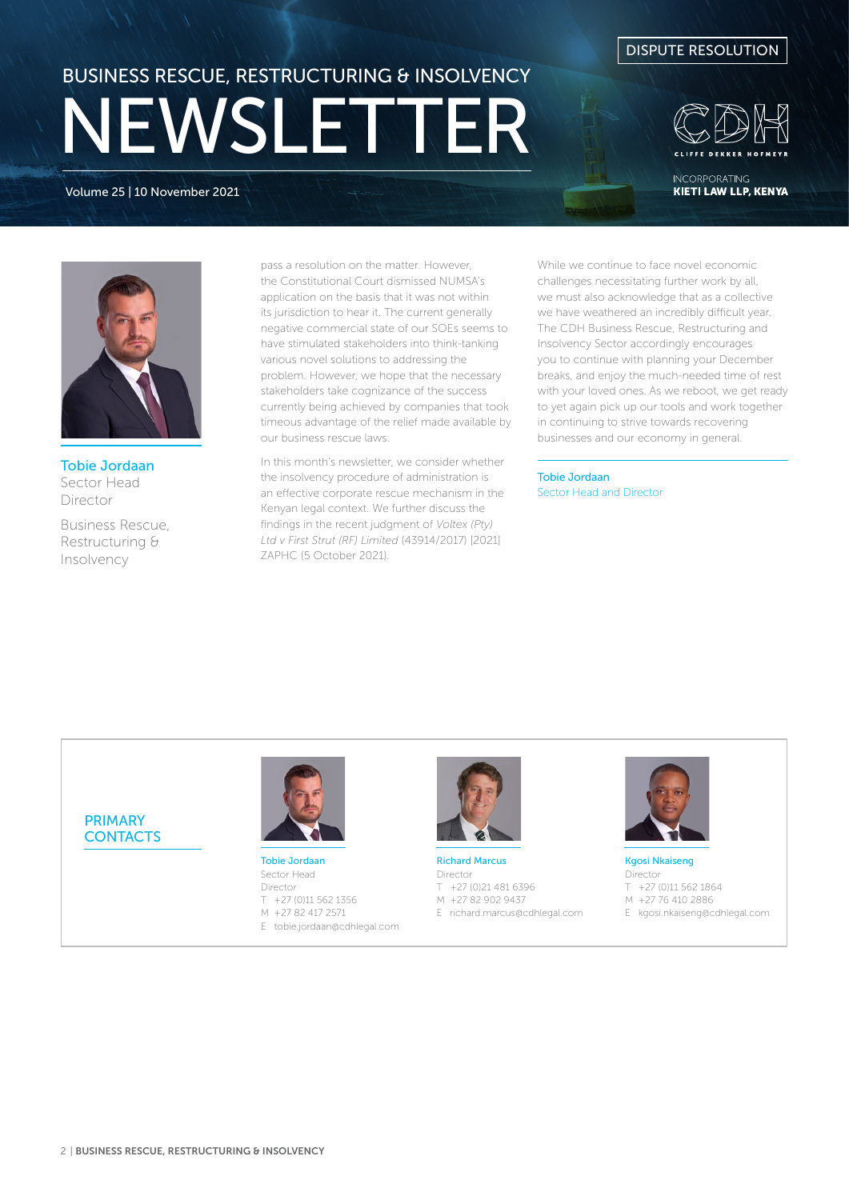Volume 25 | 10 November 2021





**INCORPORATING KIETI LAW LLP, KENYA** 



Tobie Jordaan Sector Head Director

Business Rescue, Restructuring & Insolvency

pass a resolution on the matter. However, the Constitutional Court dismissed NUMSA's application on the basis that it was not within its jurisdiction to hear it. The current generally negative commercial state of our SOEs seems to have stimulated stakeholders into think-tanking various novel solutions to addressing the problem. However, we hope that the necessary stakeholders take cognizance of the success currently being achieved by companies that took timeous advantage of the relief made available by our business rescue laws.

In this month's newsletter, we consider whether the insolvency procedure of administration is an effective corporate rescue mechanism in the Kenyan legal context. We further discuss the findings in the recent judgment of *Voltex (Pty) Ltd v First Strut (RF) Limited* (43914/2017) [2021] ZAPHC (5 October 2021).

While we continue to face novel economic challenges necessitating further work by all, we must also acknowledge that as a collective we have weathered an incredibly difficult year. The CDH Business Rescue, Restructuring and Insolvency Sector accordingly encourages you to continue with planning your December breaks, and enjoy the much-needed time of rest with your loved ones. As we reboot, we get ready to yet again pick up our tools and work together in continuing to strive towards recovering businesses and our economy in general.

Tobie Jordaan Sector Head and Director

PRIMARY **CONTACTS** 



Tobie Jordaan Sector Head Director T +27 (0)11 562 1356 M +27 82 417 2571 E tobie.jordaan@cdhlegal.com



Richard Marcus Director T +27 (0)21 481 6396 M +27 82 902 9437 E richard.marcus@cdhlegal.com



Kgosi Nkaiseng Director T +27 (0)11 562 1864 M +27 76 410 2886 E kgosi.nkaiseng@cdhlegal.com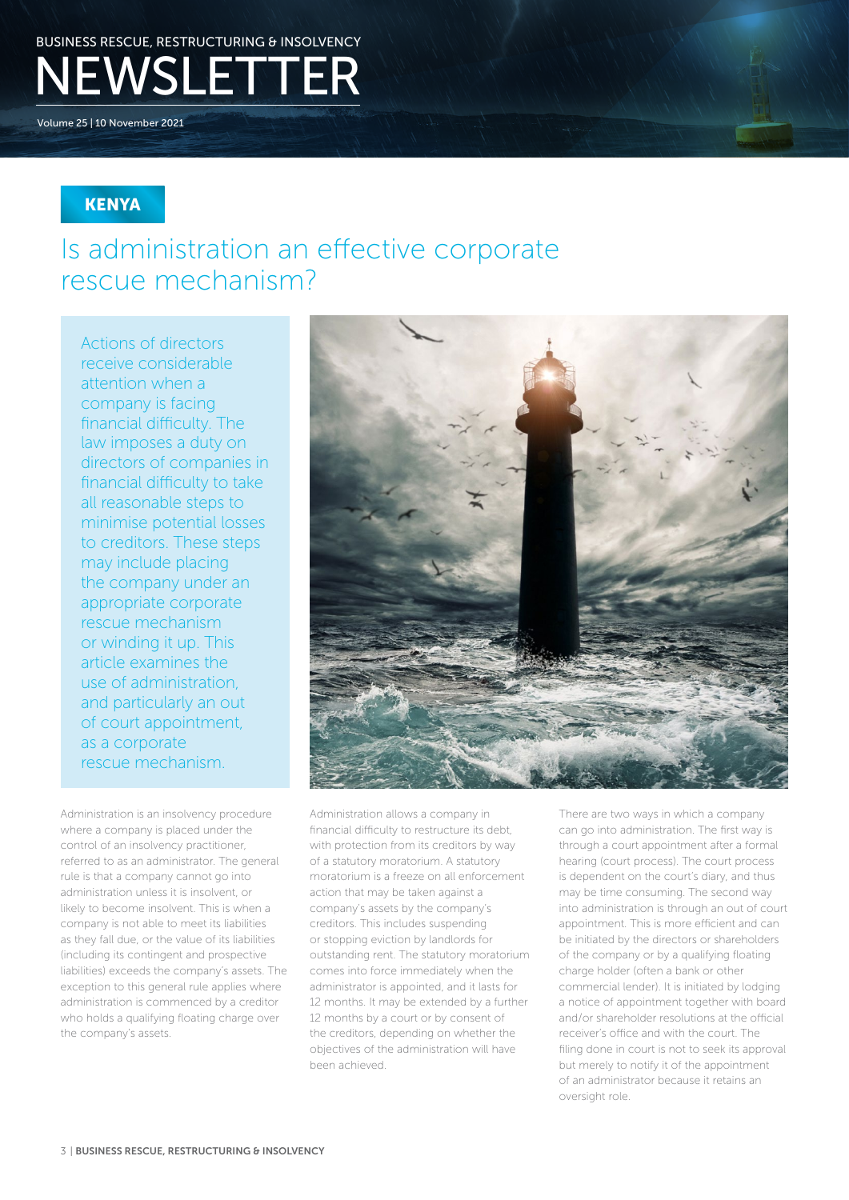Volume 25 | 10 November 2021

### **KENYA**

## Is administration an effective corporate rescue mechanism?

Actions of directors receive considerable attention when a company is facing financial difficulty. The law imposes a duty on directors of companies in financial difficulty to take all reasonable steps to minimise potential losses to creditors. These steps may include placing the company under an appropriate corporate rescue mechanism or winding it up. This article examines the use of administration, and particularly an out of court appointment, as a corporate rescue mechanism.

Administration is an insolvency procedure where a company is placed under the control of an insolvency practitioner, referred to as an administrator. The general rule is that a company cannot go into administration unless it is insolvent, or likely to become insolvent. This is when a company is not able to meet its liabilities as they fall due, or the value of its liabilities (including its contingent and prospective liabilities) exceeds the company's assets. The exception to this general rule applies where administration is commenced by a creditor who holds a qualifying floating charge over the company's assets.



Administration allows a company in financial difficulty to restructure its debt, with protection from its creditors by way of a statutory moratorium. A statutory moratorium is a freeze on all enforcement action that may be taken against a company's assets by the company's creditors. This includes suspending or stopping eviction by landlords for outstanding rent. The statutory moratorium comes into force immediately when the administrator is appointed, and it lasts for 12 months. It may be extended by a further 12 months by a court or by consent of the creditors, depending on whether the objectives of the administration will have been achieved.

There are two ways in which a company can go into administration. The first way is through a court appointment after a formal hearing (court process). The court process is dependent on the court's diary, and thus may be time consuming. The second way into administration is through an out of court appointment. This is more efficient and can be initiated by the directors or shareholders of the company or by a qualifying floating charge holder (often a bank or other commercial lender). It is initiated by lodging a notice of appointment together with board and/or shareholder resolutions at the official receiver's office and with the court. The filing done in court is not to seek its approval but merely to notify it of the appointment of an administrator because it retains an oversight role.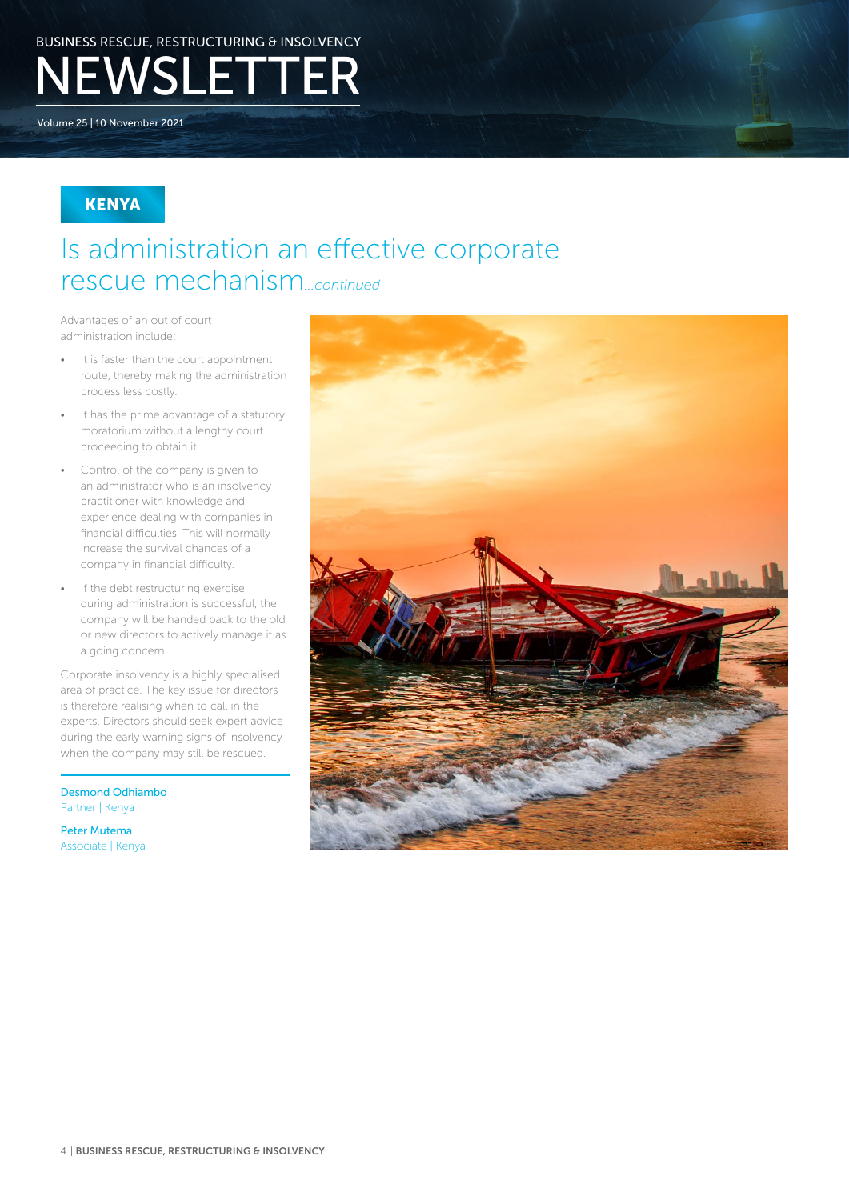Volume 25 | 10 November 2021

### **KENYA**

### Is administration an effective corporate rescue mechanism*...continued*

Advantages of an out of court administration include:

- It is faster than the court appointment route, thereby making the administration process less costly.
- It has the prime advantage of a statutory moratorium without a lengthy court proceeding to obtain it.
- Control of the company is given to an administrator who is an insolvency practitioner with knowledge and experience dealing with companies in financial difficulties. This will normally increase the survival chances of a company in financial difficulty.
- If the debt restructuring exercise during administration is successful, the company will be handed back to the old or new directors to actively manage it as a going concern.

Corporate insolvency is a highly specialised area of practice. The key issue for directors is therefore realising when to call in the experts. Directors should seek expert advice during the early warning signs of insolvency when the company may still be rescued.

Desmond Odhiambo Partner | Kenya

Peter Mutema Associate | Kenya

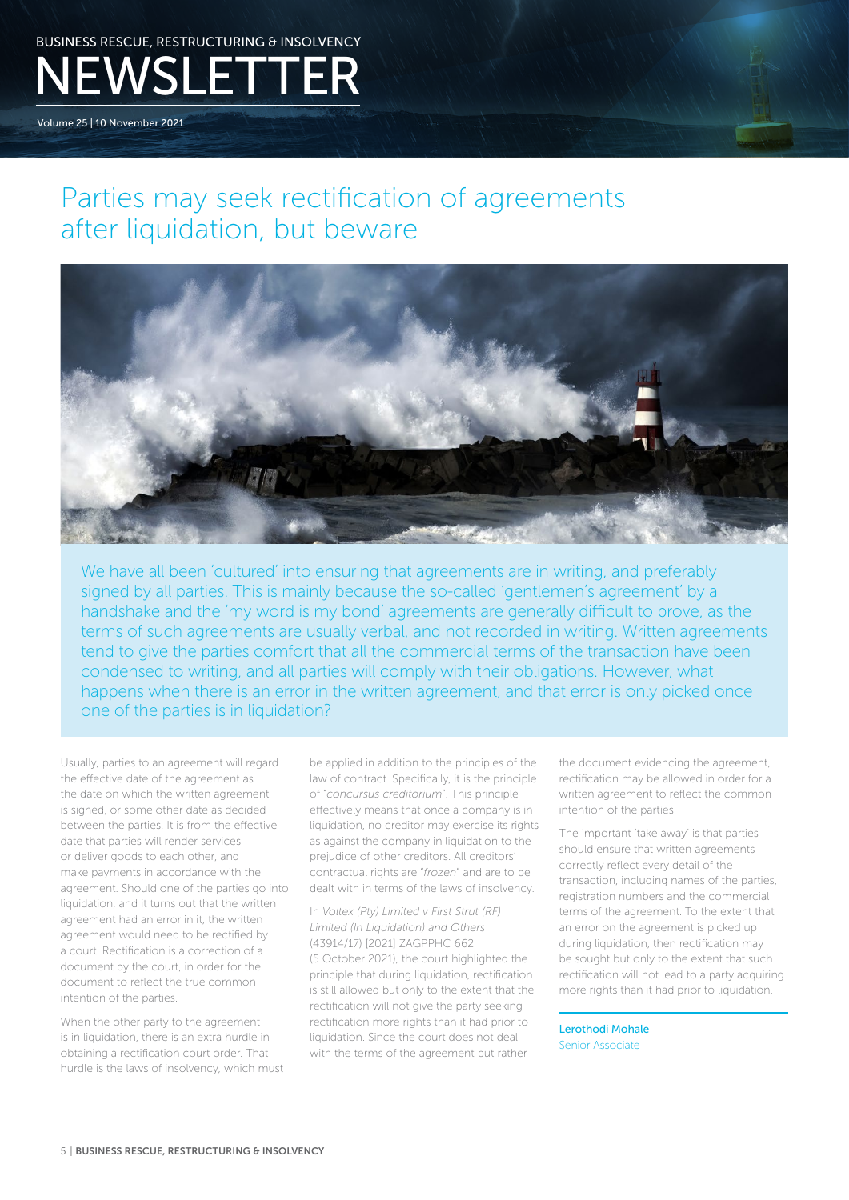Volume 25 | 10 November 2021

## Parties may seek rectification of agreements after liquidation, but beware



We have all been 'cultured' into ensuring that agreements are in writing, and preferably signed by all parties. This is mainly because the so-called 'gentlemen's agreement' by a handshake and the 'my word is my bond' agreements are generally difficult to prove, as the terms of such agreements are usually verbal, and not recorded in writing. Written agreements tend to give the parties comfort that all the commercial terms of the transaction have been condensed to writing, and all parties will comply with their obligations. However, what happens when there is an error in the written agreement, and that error is only picked once one of the parties is in liquidation?

Usually, parties to an agreement will regard the effective date of the agreement as the date on which the written agreement is signed, or some other date as decided between the parties. It is from the effective date that parties will render services or deliver goods to each other, and make payments in accordance with the agreement. Should one of the parties go into liquidation, and it turns out that the written agreement had an error in it, the written agreement would need to be rectified by a court. Rectification is a correction of a document by the court, in order for the document to reflect the true common intention of the parties.

When the other party to the agreement is in liquidation, there is an extra hurdle in obtaining a rectification court order. That hurdle is the laws of insolvency, which must be applied in addition to the principles of the law of contract. Specifically, it is the principle of "*concursus creditorium*". This principle effectively means that once a company is in liquidation, no creditor may exercise its rights as against the company in liquidation to the prejudice of other creditors. All creditors' contractual rights are "*frozen*" and are to be dealt with in terms of the laws of insolvency.

In *Voltex (Pty) Limited v First Strut (RF) Limited (In Liquidation) and Others*  (43914/17) [2021] ZAGPPHC 662 (5 October 2021), the court highlighted the principle that during liquidation, rectification is still allowed but only to the extent that the rectification will not give the party seeking rectification more rights than it had prior to liquidation. Since the court does not deal with the terms of the agreement but rather

the document evidencing the agreement, rectification may be allowed in order for a written agreement to reflect the common intention of the parties.

The important 'take away' is that parties should ensure that written agreements correctly reflect every detail of the transaction, including names of the parties, registration numbers and the commercial terms of the agreement. To the extent that an error on the agreement is picked up during liquidation, then rectification may be sought but only to the extent that such rectification will not lead to a party acquiring more rights than it had prior to liquidation.

Lerothodi Mohale Senior Associate